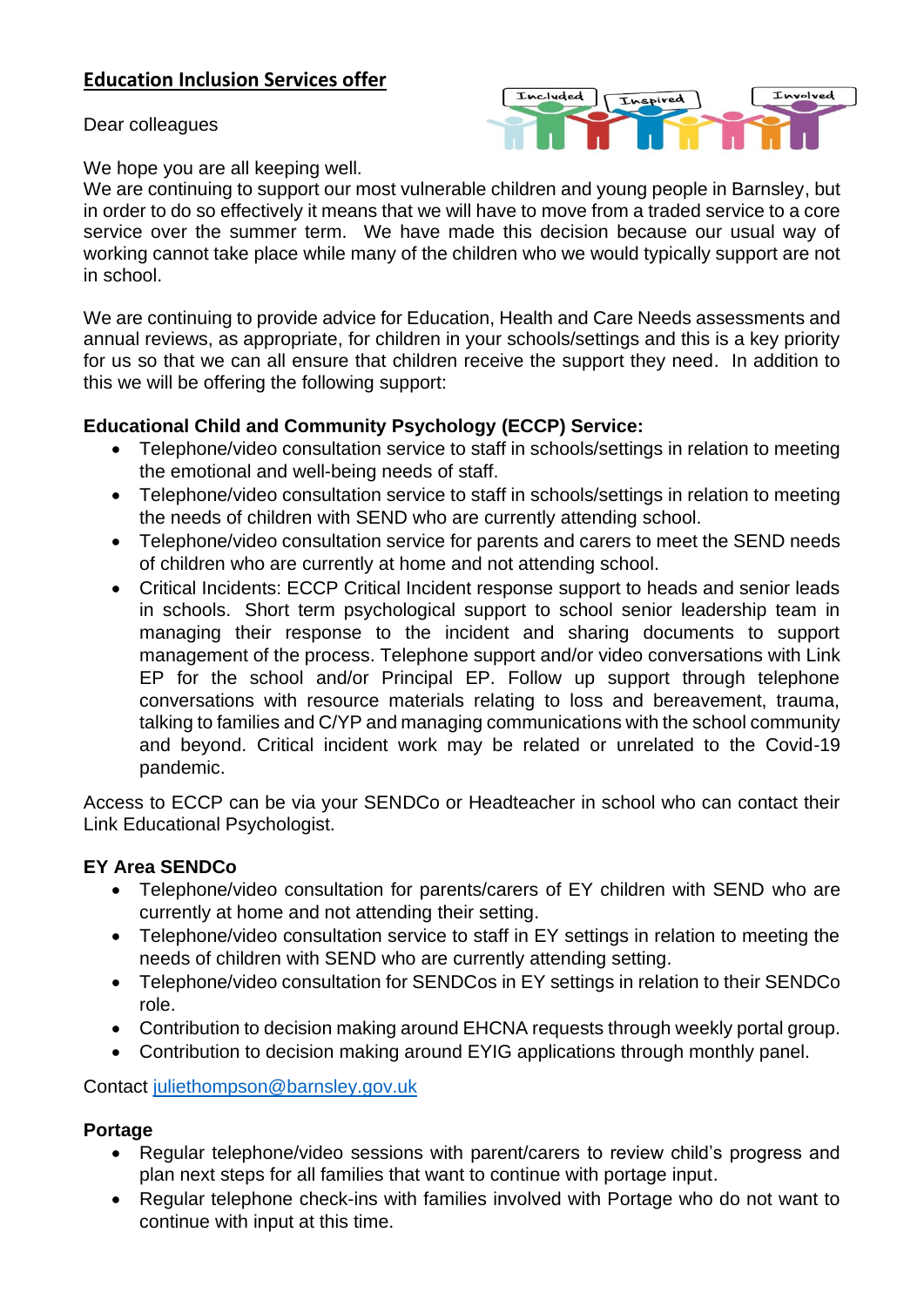# **Education Inclusion Services offer**

Dear colleagues



We hope you are all keeping well.

We are continuing to support our most vulnerable children and young people in Barnsley, but in order to do so effectively it means that we will have to move from a traded service to a core service over the summer term. We have made this decision because our usual way of working cannot take place while many of the children who we would typically support are not in school.

We are continuing to provide advice for Education, Health and Care Needs assessments and annual reviews, as appropriate, for children in your schools/settings and this is a key priority for us so that we can all ensure that children receive the support they need. In addition to this we will be offering the following support:

## **Educational Child and Community Psychology (ECCP) Service:**

- Telephone/video consultation service to staff in schools/settings in relation to meeting the emotional and well-being needs of staff.
- Telephone/video consultation service to staff in schools/settings in relation to meeting the needs of children with SEND who are currently attending school.
- Telephone/video consultation service for parents and carers to meet the SEND needs of children who are currently at home and not attending school.
- Critical Incidents: ECCP Critical Incident response support to heads and senior leads in schools. Short term psychological support to school senior leadership team in managing their response to the incident and sharing documents to support management of the process. Telephone support and/or video conversations with Link EP for the school and/or Principal EP. Follow up support through telephone conversations with resource materials relating to loss and bereavement, trauma, talking to families and C/YP and managing communications with the school community and beyond. Critical incident work may be related or unrelated to the Covid-19 pandemic.

Access to ECCP can be via your SENDCo or Headteacher in school who can contact their Link Educational Psychologist.

## **EY Area SENDCo**

- Telephone/video consultation for parents/carers of EY children with SEND who are currently at home and not attending their setting.
- Telephone/video consultation service to staff in EY settings in relation to meeting the needs of children with SEND who are currently attending setting.
- Telephone/video consultation for SENDCos in EY settings in relation to their SENDCo role.
- Contribution to decision making around EHCNA requests through weekly portal group.
- Contribution to decision making around EYIG applications through monthly panel.

Contact [juliethompson@barnsley.gov.uk](mailto:juliethompson@barnsley.gov.uk)

## **Portage**

- Regular telephone/video sessions with parent/carers to review child's progress and plan next steps for all families that want to continue with portage input.
- Regular telephone check-ins with families involved with Portage who do not want to continue with input at this time.